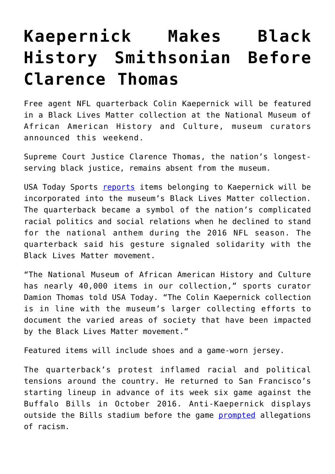## **[Kaepernick Makes Black](https://intellectualtakeout.org/2017/08/kaepernick-makes-black-history-smithsonian-before-clarence-thomas/) [History Smithsonian Before](https://intellectualtakeout.org/2017/08/kaepernick-makes-black-history-smithsonian-before-clarence-thomas/) [Clarence Thomas](https://intellectualtakeout.org/2017/08/kaepernick-makes-black-history-smithsonian-before-clarence-thomas/)**

Free agent NFL quarterback Colin Kaepernick will be featured in a Black Lives Matter collection at the National Museum of African American History and Culture, museum curators announced this weekend.

Supreme Court Justice Clarence Thomas, the nation's longestserving black justice, remains absent from the museum.

USA Today Sports [reports](https://www.usatoday.com/story/sports/nfl/2017/08/19/colin-kaepernick-items-black-lives-matter-collection-smithsonian/582643001/) items belonging to Kaepernick will be incorporated into the museum's Black Lives Matter collection. The quarterback became a symbol of the nation's complicated racial politics and social relations when he declined to stand for the national anthem during the 2016 NFL season. The quarterback said his gesture signaled solidarity with the Black Lives Matter movement.

"The National Museum of African American History and Culture has nearly 40,000 items in our collection," sports curator Damion Thomas told USA Today. "The Colin Kaepernick collection is in line with the museum's larger collecting efforts to document the varied areas of society that have been impacted by the Black Lives Matter movement."

Featured items will include shoes and a game-worn jersey.

The quarterback's protest inflamed racial and political tensions around the country. He returned to San Francisco's starting lineup in advance of its week six game against the Buffalo Bills in October 2016. Anti-Kaepernick displays outside the Bills stadium before the game [prompted](https://www.gq.com/story/colin-kaepernick-first-game-back) allegations of racism.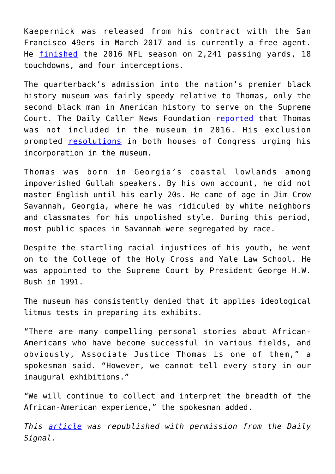Kaepernick was released from his contract with the San Francisco 49ers in March 2017 and is currently a free agent. He [finished](http://www.nfl.com/player/colinkaepernick/2495186/careerstats) the 2016 NFL season on 2,241 passing yards, 18 touchdowns, and four interceptions.

The quarterback's admission into the nation's premier black history museum was fairly speedy relative to Thomas, only the second black man in American history to serve on the Supreme Court. The Daily Caller News Foundation [reported](http://dailycaller.com/2016/10/03/clarence-thomas-is-conspicuously-absent-in-the-new-black-history-smithsonian/) that Thomas was not included in the museum in 2016. His exclusion prompted [resolutions](http://dailycaller.com/2016/12/05/congress-demands-black-history-smithsonian-include-clarence-thomas/) in both houses of Congress urging his incorporation in the museum.

Thomas was born in Georgia's coastal lowlands among impoverished Gullah speakers. By his own account, he did not master English until his early 20s. He came of age in Jim Crow Savannah, Georgia, where he was ridiculed by white neighbors and classmates for his unpolished style. During this period, most public spaces in Savannah were segregated by race.

Despite the startling racial injustices of his youth, he went on to the College of the Holy Cross and Yale Law School. He was appointed to the Supreme Court by President George H.W. Bush in 1991.

The museum has consistently denied that it applies ideological litmus tests in preparing its exhibits.

"There are many compelling personal stories about African-Americans who have become successful in various fields, and obviously, Associate Justice Thomas is one of them," a spokesman said. "However, we cannot tell every story in our inaugural exhibitions."

"We will continue to collect and interpret the breadth of the African-American experience," the spokesman added.

*This [article](http://dailysignal.com/2017/08/21/kaepernick-makes-black-history-smithsonian-before-clarence-thomas/) was republished with permission from the Daily Signal.*